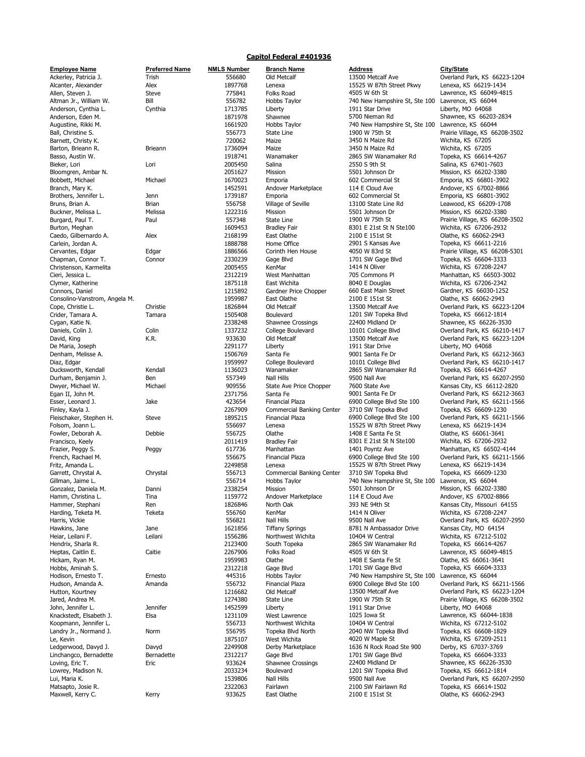## Capitol Federal #401936

| <b>Employee Name</b>          | <b>Preferred Name</b> | <b>NMLS Number</b> | <b>Branch Name</b>        | <b>Address</b>                | <b>City/State</b> |
|-------------------------------|-----------------------|--------------------|---------------------------|-------------------------------|-------------------|
| Ackerley, Patricia J.         | Trish                 | 556680             | Old Metcalf               | 13500 Metcalf Ave             | Overland P        |
| Alcanter, Alexander           | Alex                  | 1897768            | Lenexa                    | 15525 W 87th Street Pkwy      | Lenexa, KS        |
| Allen, Steven J.              | Steve                 | 775841             | Folks Road                | 4505 W 6th St                 | Lawrence,         |
| Altman Jr., William W.        | Bill                  | 556782             | Hobbs Taylor              | 740 New Hampshire St, Ste 100 | Lawrence,         |
| Anderson, Cynthia L.          | Cynthia               | 1713785            | Liberty                   | 1911 Star Drive               | Liberty, MC       |
| Anderson, Eden M.             |                       | 1871978            | Shawnee                   | 5700 Nieman Rd                | Shawnee,          |
|                               |                       |                    |                           | 740 New Hampshire St, Ste 100 |                   |
| Augustine, Rikki M.           |                       | 1661920            | Hobbs Taylor              |                               | Lawrence,         |
| Ball, Christine S.            |                       | 556773             | State Line                | 1900 W 75th St                | Prairie Villa     |
| Barnett, Christy K.           |                       | 720062             | Maize                     | 3450 N Maize Rd               | Wichita, KS       |
| Barton, Brieann R.            | Brieann               | 1736094            | Maize                     | 3450 N Maize Rd               | Wichita, KS       |
| Basso, Austin W.              |                       | 1918741            | Wanamaker                 | 2865 SW Wanamaker Rd          | Topeka, KS        |
| Bieker, Lori                  | Lori                  | 2005450            | Salina                    | 2550 S 9th St                 | Salina, KS        |
| Bloomgren, Ambar N.           |                       | 2051627            | Mission                   | 5501 Johnson Dr               | Mission, KS       |
| Bobbett, Michael              | Michael               | 1670023            | Emporia                   | 602 Commercial St             |                   |
|                               |                       |                    |                           |                               | Emporia, K        |
| Branch, Mary K.               |                       | 1452591            | Andover Marketplace       | 114 E Cloud Ave               | Andover, K        |
| Brothers, Jennifer L.         | Jenn                  | 1739187            | Emporia                   | 602 Commercial St             | Emporia, K        |
| Bruns, Brian A.               | <b>Brian</b>          | 556758             | Village of Seville        | 13100 State Line Rd           | Leawood, I        |
| Buckner, Melissa L.           | Melissa               | 1222316            | Mission                   | 5501 Johnson Dr               | Mission, KS       |
| Burgard, Paul T.              | Paul                  | 557348             | State Line                | 1900 W 75th St                | Prairie Villa     |
| Burton, Meghan                |                       | 1609453            | <b>Bradley Fair</b>       | 8301 E 21st St N Ste100       | Wichita, KS       |
| Caedo, Gilbernardo A.         | Alex                  | 2168199            | East Olathe               | 2100 E 151st St               | Olathe, KS        |
|                               |                       |                    |                           | 2901 S Kansas Ave             |                   |
| Carlein, Jordan A.            |                       | 1888788            | Home Office               |                               | Topeka, KS        |
| Cervantes, Edgar              | Edgar                 | 1886566            | Corinth Hen House         | 4050 W 83rd St                | Prairie Villa     |
| Chapman, Connor T.            | Connor                | 2330239            | Gage Blvd                 | 1701 SW Gage Blvd             | Topeka, KS        |
| Christenson, Karmelita        |                       | 2005455            | KenMar                    | 1414 N Oliver                 | Wichita, KS       |
| Cieri, Jessica L.             |                       | 2312219            | West Manhattan            | 705 Commons PI                | Manhattan         |
| Clymer, Katherine             |                       | 1875118            | East Wichita              | 8040 E Douglas                | Wichita, KS       |
| Connors, Daniel               |                       | 1215892            | Gardner Price Chopper     | 660 East Main Street          | Gardner, K        |
|                               |                       |                    |                           |                               | Olathe, KS        |
| Consolino-Vanstrom, Angela M. |                       | 1959987            | East Olathe               | 2100 E 151st St               |                   |
| Cope, Christie L.             | Christie              | 1826844            | Old Metcalf               | 13500 Metcalf Ave             | Overland P        |
| Crider, Tamara A.             | Tamara                | 1505408            | Boulevard                 | 1201 SW Topeka Blvd           | Topeka, KS        |
| Cygan, Katie N.               |                       | 2338248            | <b>Shawnee Crossings</b>  | 22400 Midland Dr              | Shawnee, I        |
| Daniels, Colin J.             | Colin                 | 1337232            | College Boulevard         | 10101 College Blvd            | Overland P        |
| David, King                   | K.R.                  | 933630             | Old Metcalf               | 13500 Metcalf Ave             | Overland P        |
| De Maria, Joseph              |                       | 2291177            | Liberty                   | 1911 Star Drive               | Liberty, MC       |
| Denham, Melisse A.            |                       | 1506769            | Santa Fe                  | 9001 Santa Fe Dr              | Overland P        |
|                               |                       |                    |                           |                               |                   |
| Diaz, Edgar                   |                       | 1959997            | College Boulevard         | 10101 College Blvd            | Overland P        |
| Ducksworth, Kendall           | Kendall               | 1136023            | Wanamaker                 | 2865 SW Wanamaker Rd          | Topeka, KS        |
| Durham, Benjamin J.           | Ben                   | 557349             | Nall Hills                | 9500 Nall Ave                 | Overland P        |
| Dwyer, Michael W.             | Michael               | 909556             | State Ave Price Chopper   | 7600 State Ave                | Kansas City       |
| Egan II, John M.              |                       | 2371756            | Santa Fe                  | 9001 Santa Fe Dr              | Overland P        |
| Esser, Leonard J.             | Jake                  | 423654             | <b>Financial Plaza</b>    | 6900 College Blvd Ste 100     | Overland P        |
| Finley, Kayla J.              |                       | 2267909            | Commercial Banking Center | 3710 SW Topeka Blvd           | Topeka, KS        |
|                               |                       |                    |                           |                               | Overland P        |
| Fleischaker, Stephen H.       | Steve                 | 1895215            | <b>Financial Plaza</b>    | 6900 College Blvd Ste 100     |                   |
| Folsom, Joann L.              |                       | 556697             | Lenexa                    | 15525 W 87th Street Pkwy      | Lenexa, KS        |
| Fowler, Deborah A.            | Debbie                | 556725             | Olathe                    | 1408 E Santa Fe St            | Olathe, KS        |
| Francisco, Keely              |                       | 2011419            | <b>Bradley Fair</b>       | 8301 E 21st St N Ste100       | Wichita, KS       |
| Frazier, Peggy S.             | Peggy                 | 617736             | Manhattan                 | 1401 Poyntz Ave               | Manhattan         |
| French, Rachael M.            |                       | 556675             | Financial Plaza           | 6900 College Blvd Ste 100     | Overland P        |
| Fritz, Amanda L.              |                       | 2249858            | Lenexa                    | 15525 W 87th Street Pkwy      | Lenexa, KS        |
| Garrett, Chrystal A.          | Chrystal              | 556713             | Commercial Banking Center | 3710 SW Topeka Blvd           | Topeka, KS        |
|                               |                       | 556714             |                           |                               |                   |
| Gillman, Jaime L.             |                       |                    | Hobbs Taylor              | 740 New Hampshire St, Ste 100 | Lawrence,         |
| Gonzalez, Daniela M.          | Danni                 | 2338254            | Mission                   | 5501 Johnson Dr               | Mission, KS       |
| Hamm, Christina L.            | Tina                  | 1159772            | Andover Marketplace       | 114 E Cloud Ave               | Andover, K        |
| Hammer, Stephani              | Ren                   | 1826846            | North Oak                 | 393 NE 94th St                | Kansas City       |
| Harding, Teketa M.            | Teketa                | 556760             | KenMar                    | 1414 N Oliver                 | Wichita, KS       |
| Harris, Vickie                |                       | 556821             | <b>Nall Hills</b>         | 9500 Nall Ave                 | Overland P        |
| Hawkins, Jane                 | Jane                  | 1621856            | <b>Tiffany Springs</b>    | 8781 N Ambassador Drive       | Kansas City       |
| Heiar, Leilani F.             | Leilani               | 1556286            | Northwest Wichita         | 10404 W Central               | Wichita, KS       |
|                               |                       |                    |                           | 2865 SW Wanamaker Rd          |                   |
| Hendrix, Sharla R.            |                       | 2123400            | South Topeka              |                               | Topeka, KS        |
| Heptas, Caitlin E.            | Caitie                | 2267906            | Folks Road                | 4505 W 6th St                 | Lawrence,         |
| Hickam, Ryan M.               |                       | 1959983            | Olathe                    | 1408 E Santa Fe St            | Olathe, KS        |
| Hobbs, Aminah S.              |                       | 2312218            | Gage Blvd                 | 1701 SW Gage Blvd             | Topeka, KS        |
| Hodison, Ernesto T.           | Ernesto               | 445316             | Hobbs Taylor              | 740 New Hampshire St, Ste 100 | Lawrence,         |
| Hudson, Amanda A.             | Amanda                | 556732             | Financial Plaza           | 6900 College Blvd Ste 100     | Overland P        |
| Hutton, Kourtney              |                       | 1216682            | Old Metcalf               | 13500 Metcalf Ave             | Overland P        |
| Jared, Andrea M.              |                       | 1274380            | State Line                | 1900 W 75th St                | Prairie Villa     |
| John, Jennifer L.             |                       |                    |                           |                               |                   |
|                               | Jennifer              | 1452599            | Liberty                   | 1911 Star Drive               | Liberty, MC       |
| Knackstedt, Elsabeth J.       | Elsa                  | 1231109            | West Lawrence             | 1025 Iowa St                  | Lawrence,         |
| Koopmann, Jennifer L.         |                       | 556733             | Northwest Wichita         | 10404 W Central               | Wichita, KS       |
| Landry Jr., Normand J.        | Norm                  | 556795             | Topeka Blvd North         | 2040 NW Topeka Blvd           | Topeka, KS        |
| Le, Kevin                     |                       | 1875107            | West Wichita              | 4020 W Maple St               | Wichita, KS       |
| Ledgerwood, Davyd J.          | Davyd                 | 2249908            | Derby Marketplace         | 1636 N Rock Road Ste 900      | Derby, KS         |
| Linchangco, Bernadette        | Bernadette            | 2312217            | Gage Blvd                 | 1701 SW Gage Blvd             | Topeka, KS        |
|                               |                       |                    |                           |                               |                   |
| Loving, Eric T.               | Eric                  | 933624             | Shawnee Crossings         | 22400 Midland Dr              | Shawnee, I        |
| Lowrey, Madison N.            |                       | 2033234            | Boulevard                 | 1201 SW Topeka Blvd           | Topeka, KS        |
| Lui, Maria K.                 |                       | 1539806            | Nall Hills                | 9500 Nall Ave                 | Overland P        |
| Matsapto, Josie R.            |                       | 2322063            | Fairlawn                  | 2100 SW Fairlawn Rd           | Topeka, KS        |
| Maywoll Korner                |                       | 022625             | $Enet$ Olathe             | $2100E151c+C+$                | $Ntho$ $VC$       |

| Preferred Na         |
|----------------------|
| Trish                |
| Alex<br><b>Steve</b> |
| Bill                 |
| Cynthia              |
|                      |
|                      |
| Brieann              |
| Lori                 |
|                      |
| Michael              |
| Jenn                 |
| Brian<br>Melissa     |
| Paul                 |
| Alex                 |
|                      |
| Edgar<br>Connor      |
|                      |
|                      |
|                      |
| Christie             |
| Tamara               |
| Colin                |
| K.R.                 |
|                      |
|                      |
| Kendall<br>Ben       |
| Michael              |
| Jake                 |
|                      |
| <b>Steve</b>         |
| Debbie               |
| Peggy                |
|                      |
| Chrystal             |
| Danni                |
| Tina                 |
| Ren<br>Teketa        |
|                      |
| Jane<br>Leilani      |
|                      |
| Caitie               |
|                      |
| Ernesto<br>Amanda    |
|                      |
| Jennifer             |
| Elsa                 |
| Norm                 |
|                      |
| Davyd<br>Bernadette  |
| Eric                 |
|                      |
|                      |
| Kerry                |

| <u>Employee Name</u>          | <b>Preferred Name</b> | <b>NMLS NUMBER</b> | <b>Branch Name</b>        | Address                                          | <u>City/State</u>              |
|-------------------------------|-----------------------|--------------------|---------------------------|--------------------------------------------------|--------------------------------|
| Ackerley, Patricia J.         | Trish                 | 556680             | Old Metcalf               | 13500 Metcalf Ave                                | Overland Park, KS 66223-1204   |
| Alcanter, Alexander           | Alex                  | 1897768            | Lenexa                    | 15525 W 87th Street Pkwy                         | Lenexa, KS 66219-1434          |
| Allen, Steven J.              | Steve                 | 775841             | Folks Road                | 4505 W 6th St                                    | Lawrence, KS 66049-4815        |
| Altman Jr., William W.        | Bill                  | 556782             | Hobbs Taylor              | 740 New Hampshire St, Ste 100                    | Lawrence, KS 66044             |
| Anderson, Cynthia L.          | Cynthia               | 1713785            | Liberty                   | 1911 Star Drive                                  | Liberty, MO 64068              |
| Anderson, Eden M.             |                       | 1871978            | Shawnee                   | 5700 Nieman Rd                                   | Shawnee, KS 66203-2834         |
| Augustine, Rikki M.           |                       | 1661920            | Hobbs Taylor              | 740 New Hampshire St, Ste 100 Lawrence, KS 66044 |                                |
| Ball, Christine S.            |                       | 556773             | State Line                | 1900 W 75th St                                   | Prairie Village, KS 66208-3502 |
| Barnett, Christy K.           |                       | 720062             | Maize                     | 3450 N Maize Rd                                  | Wichita, KS 67205              |
| Barton, Brieann R.            | <b>Brieann</b>        | 1736094            | Maize                     | 3450 N Maize Rd                                  | Wichita, KS 67205              |
| Basso, Austin W.              |                       | 1918741            | Wanamaker                 | 2865 SW Wanamaker Rd                             | Topeka, KS 66614-4267          |
| Bieker, Lori                  | Lori                  | 2005450            | Salina                    | 2550 S 9th St                                    | Salina, KS 67401-7603          |
| Bloomgren, Ambar N.           |                       | 2051627            | Mission                   | 5501 Johnson Dr                                  | Mission, KS 66202-3380         |
| Bobbett, Michael              | Michael               | 1670023            | Emporia                   | 602 Commercial St                                | Emporia, KS 66801-3902         |
| Branch, Mary K.               |                       | 1452591            | Andover Marketplace       | 114 E Cloud Ave                                  | Andover, KS 67002-8866         |
| Brothers, Jennifer L.         | Jenn                  | 1739187            | Emporia                   | 602 Commercial St                                | Emporia, KS 66801-3902         |
| Bruns, Brian A.               | Brian                 | 556758             | Village of Seville        | 13100 State Line Rd                              | Leawood, KS 66209-1708         |
| Buckner, Melissa L.           | Melissa               | 1222316            | Mission                   | 5501 Johnson Dr                                  | Mission, KS 66202-3380         |
| Burgard, Paul T.              | Paul                  | 557348             | State Line                | 1900 W 75th St                                   | Prairie Village, KS 66208-3502 |
| Burton, Meghan                |                       | 1609453            | <b>Bradley Fair</b>       | 8301 E 21st St N Ste100                          | Wichita, KS 67206-2932         |
|                               | Alex                  |                    | East Olathe               | 2100 E 151st St                                  | Olathe, KS 66062-2943          |
| Caedo, Gilbernardo A.         |                       | 2168199            |                           |                                                  |                                |
| Carlein, Jordan A.            |                       | 1888788            | Home Office               | 2901 S Kansas Ave                                | Topeka, KS 66611-2216          |
| Cervantes, Edgar              | Edgar                 | 1886566            | Corinth Hen House         | 4050 W 83rd St                                   | Prairie Village, KS 66208-5301 |
| Chapman, Connor T.            | Connor                | 2330239            | Gage Blvd                 | 1701 SW Gage Blvd                                | Topeka, KS 66604-3333          |
| Christenson, Karmelita        |                       | 2005455            | KenMar                    | 1414 N Oliver                                    | Wichita, KS 67208-2247         |
| Cieri, Jessica L.             |                       | 2312219            | West Manhattan            | 705 Commons Pl                                   | Manhattan, KS 66503-3002       |
| Clymer, Katherine             |                       | 1875118            | East Wichita              | 8040 E Douglas                                   | Wichita, KS 67206-2342         |
| Connors, Daniel               |                       | 1215892            | Gardner Price Chopper     | 660 East Main Street                             | Gardner, KS 66030-1252         |
| Consolino-Vanstrom, Angela M. |                       | 1959987            | East Olathe               | 2100 E 151st St                                  | Olathe, KS 66062-2943          |
| Cope, Christie L.             | Christie              | 1826844            | Old Metcalf               | 13500 Metcalf Ave                                | Overland Park, KS 66223-1204   |
| Crider, Tamara A.             | Tamara                | 1505408            | Boulevard                 | 1201 SW Topeka Blvd                              | Topeka, KS 66612-1814          |
| Cygan, Katie N.               |                       | 2338248            | <b>Shawnee Crossings</b>  | 22400 Midland Dr                                 | Shawnee, KS 66226-3530         |
| Daniels, Colin J.             | Colin                 | 1337232            | College Boulevard         | 10101 College Blvd                               | Overland Park, KS 66210-1417   |
| David, King                   | K.R.                  | 933630             | Old Metcalf               | 13500 Metcalf Ave                                | Overland Park, KS 66223-1204   |
| De Maria, Joseph              |                       | 2291177            | Liberty                   | 1911 Star Drive                                  | Liberty, MO 64068              |
| Denham, Melisse A.            |                       | 1506769            | Santa Fe                  | 9001 Santa Fe Dr                                 | Overland Park, KS 66212-3663   |
| Diaz, Edgar                   |                       | 1959997            | College Boulevard         | 10101 College Blvd                               | Overland Park, KS 66210-1417   |
| Ducksworth, Kendall           | Kendall               | 1136023            | Wanamaker                 | 2865 SW Wanamaker Rd                             | Topeka, KS 66614-4267          |
| Durham, Benjamin J.           | Ben                   | 557349             | <b>Nall Hills</b>         | 9500 Nall Ave                                    | Overland Park, KS 66207-2950   |
| Dwyer, Michael W.             | Michael               | 909556             | State Ave Price Chopper   | 7600 State Ave                                   |                                |
|                               |                       |                    |                           |                                                  | Kansas City, KS 66112-2820     |
| Egan II, John M.              |                       | 2371756            | Santa Fe                  | 9001 Santa Fe Dr                                 | Overland Park, KS 66212-3663   |
| Esser, Leonard J.             | Jake                  | 423654             | Financial Plaza           | 6900 College Blvd Ste 100                        | Overland Park, KS 66211-1566   |
| Finley, Kayla J.              |                       | 2267909            | Commercial Banking Center | 3710 SW Topeka Blvd                              | Topeka, KS 66609-1230          |
| Fleischaker, Stephen H.       | Steve                 | 1895215            | <b>Financial Plaza</b>    | 6900 College Blvd Ste 100                        | Overland Park, KS 66211-1566   |
| Folsom, Joann L.              |                       | 556697             | Lenexa                    | 15525 W 87th Street Pkwy                         | Lenexa, KS 66219-1434          |
| Fowler, Deborah A.            | Debbie                | 556725             | Olathe                    | 1408 E Santa Fe St                               | Olathe, KS 66061-3641          |
| Francisco, Keely              |                       | 2011419            | <b>Bradley Fair</b>       | 8301 E 21st St N Ste100                          | Wichita, KS 67206-2932         |
| Frazier, Peggy S.             | Peggy                 | 617736             | Manhattan                 | 1401 Poyntz Ave                                  | Manhattan, KS 66502-4144       |
| French, Rachael M.            |                       | 556675             | Financial Plaza           | 6900 College Blvd Ste 100                        | Overland Park, KS 66211-1566   |
| Fritz, Amanda L.              |                       | 2249858            | Lenexa                    | 15525 W 87th Street Pkwy                         | Lenexa, KS 66219-1434          |
| Garrett, Chrystal A.          | Chrystal              | 556713             | Commercial Banking Center | 3710 SW Topeka Blvd                              | Topeka, KS 66609-1230          |
| Gillman, Jaime L.             |                       | 556714             | Hobbs Taylor              | 740 New Hampshire St, Ste 100                    | Lawrence, KS 66044             |
| Gonzalez, Daniela M.          | Danni                 | 2338254            | Mission                   | 5501 Johnson Dr                                  | Mission, KS 66202-3380         |
| Hamm, Christina L             | Tina                  | 1159772            | Andover Marketplace       | 114 E Cloud Ave                                  | Andover, KS 67002-8866         |
| Hammer, Stephani              | Ren                   | 1826846            | North Oak                 | 393 NE 94th St                                   | Kansas City, Missouri 64155    |
| Harding, Teketa M.            | Teketa                | 556760             | KenMar                    | 1414 N Oliver                                    | Wichita, KS 67208-2247         |
| Harris, Vickie                |                       | 556821             | <b>Nall Hills</b>         | 9500 Nall Ave                                    | Overland Park, KS 66207-2950   |
| Hawkins, Jane                 | Jane                  | 1621856            | <b>Tiffany Springs</b>    | 8781 N Ambassador Drive                          | Kansas City, MO 64154          |
| Heiar, Leilani F.             | Leilani               | 1556286            | Northwest Wichita         | 10404 W Central                                  | Wichita, KS 67212-5102         |
| Hendrix, Sharla R.            |                       | 2123400            | South Topeka              | 2865 SW Wanamaker Rd                             | Topeka, KS 66614-4267          |
| Heptas, Caitlin E.            | Caitie                | 2267906            | Folks Road                | 4505 W 6th St                                    | Lawrence, KS 66049-4815        |
|                               |                       |                    |                           |                                                  | Olathe, KS 66061-3641          |
| Hickam, Ryan M.               |                       | 1959983            | Olathe                    | 1408 E Santa Fe St                               |                                |
| Hobbs, Aminah S.              |                       | 2312218            | Gage Blvd                 | 1701 SW Gage Blvd                                | Topeka, KS 66604-3333          |
| Hodison, Ernesto T.           | Ernesto               | 445316             | Hobbs Taylor              | 740 New Hampshire St, Ste 100                    | Lawrence, KS 66044             |
| Hudson, Amanda A.             | Amanda                | 556732             | Financial Plaza           | 6900 College Blvd Ste 100                        | Overland Park, KS 66211-1566   |
| Hutton, Kourtney              |                       | 1216682            | Old Metcalf               | 13500 Metcalf Ave                                | Overland Park, KS 66223-1204   |
| Jared, Andrea M.              |                       | 1274380            | State Line                | 1900 W 75th St                                   | Prairie Village, KS 66208-3502 |
| John, Jennifer L.             | Jennifer              | 1452599            | Liberty                   | 1911 Star Drive                                  | Liberty, MO 64068              |
| Knackstedt, Elsabeth J.       | Elsa                  | 1231109            | West Lawrence             | 1025 Iowa St                                     | Lawrence, KS 66044-1838        |
| Koopmann, Jennifer L.         |                       | 556733             | Northwest Wichita         | 10404 W Central                                  | Wichita, KS 67212-5102         |
| Landry Jr., Normand J.        | Norm                  | 556795             | Topeka Blvd North         | 2040 NW Topeka Blvd                              | Topeka, KS 66608-1829          |
| Le, Kevin                     |                       | 1875107            | West Wichita              | 4020 W Maple St                                  | Wichita, KS 67209-2511         |
| Ledgerwood, Davyd J.          | Davyd                 | 2249908            | Derby Marketplace         | 1636 N Rock Road Ste 900                         | Derby, KS 67037-3769           |
| Linchangco, Bernadette        | Bernadette            | 2312217            | Gage Blvd                 | 1701 SW Gage Blvd                                | Topeka, KS 66604-3333          |
| Loving, Eric T.               | Eric                  | 933624             | <b>Shawnee Crossings</b>  | 22400 Midland Dr                                 | Shawnee, KS 66226-3530         |
| Lowrey, Madison N.            |                       | 2033234            | Boulevard                 | 1201 SW Topeka Blvd                              | Topeka, KS 66612-1814          |
| Lui, Maria K.                 |                       | 1539806            | Nall Hills                | 9500 Nall Ave                                    | Overland Park, KS 66207-2950   |
| Matsapto, Josie R.            |                       | 2322063            | Fairlawn                  | 2100 SW Fairlawn Rd                              | Topeka, KS 66614-1502          |
| Maxwell, Kerry C.             |                       | 933625             | East Olathe               | 2100 E 151st St                                  | Olathe, KS 66062-2943          |
|                               | Kerry                 |                    |                           |                                                  |                                |